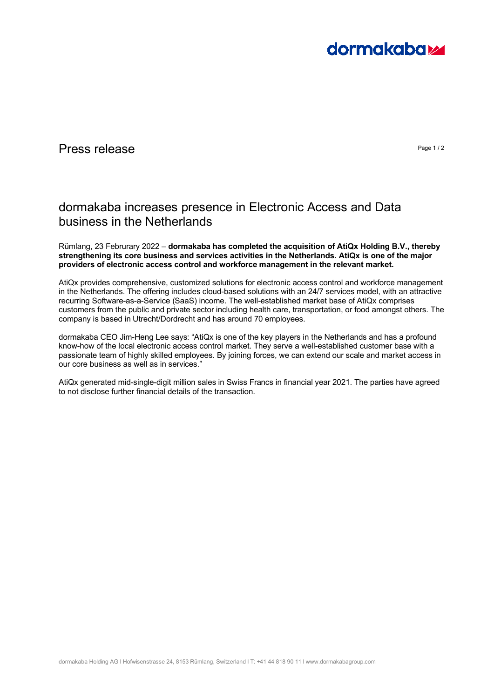

## Press release **Press release** Page 1/2

## dormakaba increases presence in Electronic Access and Data business in the Netherlands

Rümlang, 23 Februrary 2022 – **dormakaba has completed the acquisition of AtiQx Holding B.V., thereby strengthening its core business and services activities in the Netherlands. AtiQx is one of the major providers of electronic access control and workforce management in the relevant market.** 

AtiQx provides comprehensive, customized solutions for electronic access control and workforce management in the Netherlands. The offering includes cloud-based solutions with an 24/7 services model, with an attractive recurring Software-as-a-Service (SaaS) income. The well-established market base of AtiQx comprises customers from the public and private sector including health care, transportation, or food amongst others. The company is based in Utrecht/Dordrecht and has around 70 employees.

dormakaba CEO Jim-Heng Lee says: "AtiQx is one of the key players in the Netherlands and has a profound know-how of the local electronic access control market. They serve a well-established customer base with a passionate team of highly skilled employees. By joining forces, we can extend our scale and market access in our core business as well as in services."

AtiQx generated mid-single-digit million sales in Swiss Francs in financial year 2021. The parties have agreed to not disclose further financial details of the transaction.